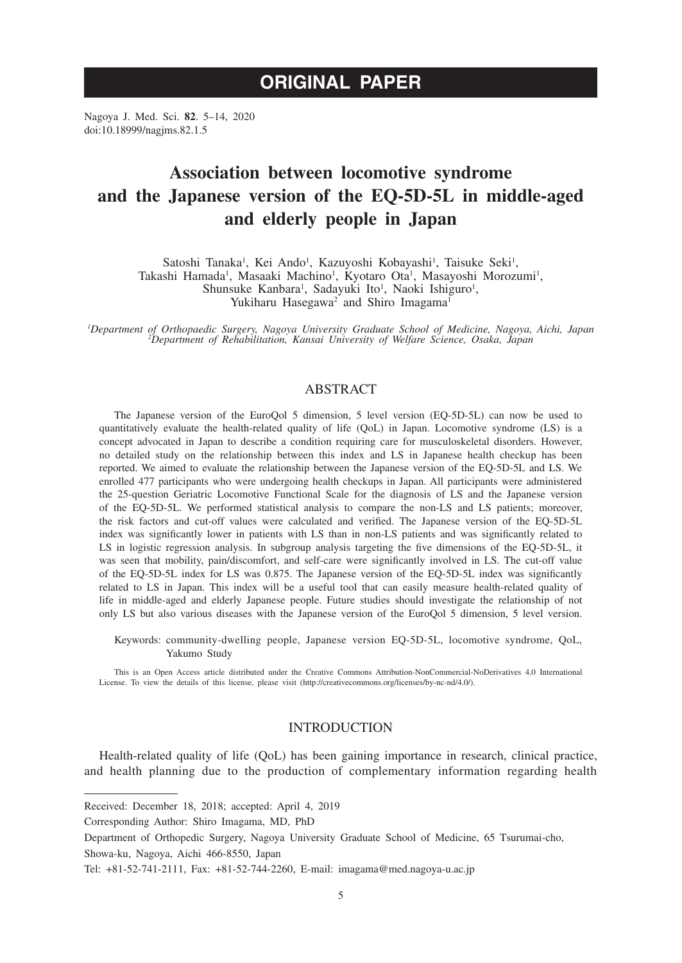Nagoya J. Med. Sci. **82**. 5–14, 2020 doi:10.18999/nagjms.82.1.5

# **Association between locomotive syndrome and the Japanese version of the EQ-5D-5L in middle-aged and elderly people in Japan**

Satoshi Tanaka<sup>1</sup>, Kei Ando<sup>1</sup>, Kazuyoshi Kobayashi<sup>1</sup>, Taisuke Seki<sup>1</sup>, Takashi Hamada<sup>1</sup>, Masaaki Machino<sup>1</sup>, Kyotaro Ota<sup>1</sup>, Masayoshi Morozumi<sup>1</sup>, Shunsuke Kanbara<sup>1</sup>, Sadayuki Ito<sup>1</sup>, Naoki Ishiguro<sup>1</sup>, Yukiharu Hasegawa<sup>2</sup> and Shiro Imagama<sup>1</sup>

*1 Department of Orthopaedic Surgery, Nagoya University Graduate School of Medicine, Nagoya, Aichi, Japan <sup>2</sup> Department of Rehabilitation, Kansai University of Welfare Science, Osaka, Japan*

# **ABSTRACT**

The Japanese version of the EuroQol 5 dimension, 5 level version (EQ-5D-5L) can now be used to quantitatively evaluate the health-related quality of life (QoL) in Japan. Locomotive syndrome (LS) is a concept advocated in Japan to describe a condition requiring care for musculoskeletal disorders. However, no detailed study on the relationship between this index and LS in Japanese health checkup has been reported. We aimed to evaluate the relationship between the Japanese version of the EQ-5D-5L and LS. We enrolled 477 participants who were undergoing health checkups in Japan. All participants were administered the 25-question Geriatric Locomotive Functional Scale for the diagnosis of LS and the Japanese version of the EQ-5D-5L. We performed statistical analysis to compare the non-LS and LS patients; moreover, the risk factors and cut-off values were calculated and verified. The Japanese version of the EQ-5D-5L index was significantly lower in patients with LS than in non-LS patients and was significantly related to LS in logistic regression analysis. In subgroup analysis targeting the five dimensions of the EQ-5D-5L, it was seen that mobility, pain/discomfort, and self-care were significantly involved in LS. The cut-off value of the EQ-5D-5L index for LS was 0.875. The Japanese version of the EQ-5D-5L index was significantly related to LS in Japan. This index will be a useful tool that can easily measure health-related quality of life in middle-aged and elderly Japanese people. Future studies should investigate the relationship of not only LS but also various diseases with the Japanese version of the EuroQol 5 dimension, 5 level version.

Keywords: community-dwelling people, Japanese version EQ-5D-5L, locomotive syndrome, QoL, Yakumo Study

This is an Open Access article distributed under the Creative Commons Attribution-NonCommercial-NoDerivatives 4.0 International License. To view the details of this license, please visit (http://creativecommons.org/licenses/by-nc-nd/4.0/).

## INTRODUCTION

Health-related quality of life (QoL) has been gaining importance in research, clinical practice, and health planning due to the production of complementary information regarding health

Received: December 18, 2018; accepted: April 4, 2019

Corresponding Author: Shiro Imagama, MD, PhD

Department of Orthopedic Surgery, Nagoya University Graduate School of Medicine, 65 Tsurumai-cho, Showa-ku, Nagoya, Aichi 466-8550, Japan

Tel: +81-52-741-2111, Fax: +81-52-744-2260, E-mail: imagama@med.nagoya-u.ac.jp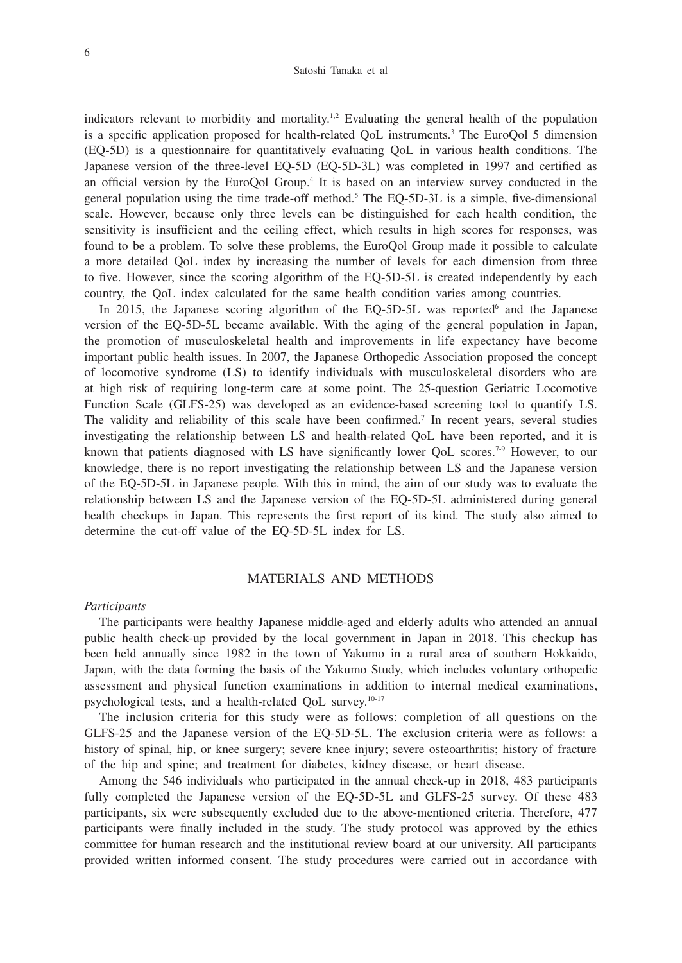indicators relevant to morbidity and mortality.<sup>1,2</sup> Evaluating the general health of the population is a specific application proposed for health-related QoL instruments.3 The EuroQol 5 dimension (EQ-5D) is a questionnaire for quantitatively evaluating QoL in various health conditions. The Japanese version of the three-level EQ-5D (EQ-5D-3L) was completed in 1997 and certified as an official version by the EuroQol Group.<sup>4</sup> It is based on an interview survey conducted in the general population using the time trade-off method.5 The EQ-5D-3L is a simple, five-dimensional scale. However, because only three levels can be distinguished for each health condition, the sensitivity is insufficient and the ceiling effect, which results in high scores for responses, was found to be a problem. To solve these problems, the EuroQol Group made it possible to calculate a more detailed QoL index by increasing the number of levels for each dimension from three to five. However, since the scoring algorithm of the EQ-5D-5L is created independently by each country, the QoL index calculated for the same health condition varies among countries.

In 2015, the Japanese scoring algorithm of the EQ-5D-5L was reported and the Japanese version of the EQ-5D-5L became available. With the aging of the general population in Japan, the promotion of musculoskeletal health and improvements in life expectancy have become important public health issues. In 2007, the Japanese Orthopedic Association proposed the concept of locomotive syndrome (LS) to identify individuals with musculoskeletal disorders who are at high risk of requiring long-term care at some point. The 25-question Geriatric Locomotive Function Scale (GLFS-25) was developed as an evidence-based screening tool to quantify LS. The validity and reliability of this scale have been confirmed.7 In recent years, several studies investigating the relationship between LS and health-related QoL have been reported, and it is known that patients diagnosed with LS have significantly lower OoL scores.<sup>7-9</sup> However, to our knowledge, there is no report investigating the relationship between LS and the Japanese version of the EQ-5D-5L in Japanese people. With this in mind, the aim of our study was to evaluate the relationship between LS and the Japanese version of the EQ-5D-5L administered during general health checkups in Japan. This represents the first report of its kind. The study also aimed to determine the cut-off value of the EQ-5D-5L index for LS.

# MATERIALS AND METHODS

#### *Participants*

The participants were healthy Japanese middle-aged and elderly adults who attended an annual public health check-up provided by the local government in Japan in 2018. This checkup has been held annually since 1982 in the town of Yakumo in a rural area of southern Hokkaido, Japan, with the data forming the basis of the Yakumo Study, which includes voluntary orthopedic assessment and physical function examinations in addition to internal medical examinations, psychological tests, and a health-related QoL survey.10-17

The inclusion criteria for this study were as follows: completion of all questions on the GLFS-25 and the Japanese version of the EQ-5D-5L. The exclusion criteria were as follows: a history of spinal, hip, or knee surgery; severe knee injury; severe osteoarthritis; history of fracture of the hip and spine; and treatment for diabetes, kidney disease, or heart disease.

Among the 546 individuals who participated in the annual check-up in 2018, 483 participants fully completed the Japanese version of the EQ-5D-5L and GLFS-25 survey. Of these 483 participants, six were subsequently excluded due to the above-mentioned criteria. Therefore, 477 participants were finally included in the study. The study protocol was approved by the ethics committee for human research and the institutional review board at our university. All participants provided written informed consent. The study procedures were carried out in accordance with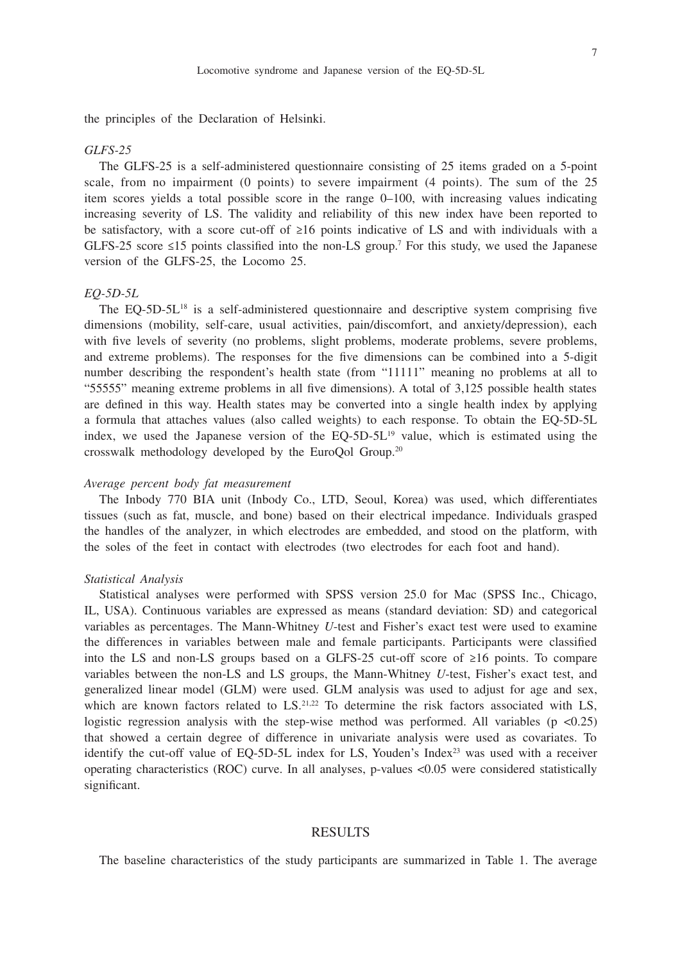7

the principles of the Declaration of Helsinki.

#### *GLFS-25*

The GLFS-25 is a self-administered questionnaire consisting of 25 items graded on a 5-point scale, from no impairment (0 points) to severe impairment (4 points). The sum of the 25 item scores yields a total possible score in the range 0–100, with increasing values indicating increasing severity of LS. The validity and reliability of this new index have been reported to be satisfactory, with a score cut-off of ≥16 points indicative of LS and with individuals with a GLFS-25 score  $\leq$ 15 points classified into the non-LS group.<sup>7</sup> For this study, we used the Japanese version of the GLFS-25, the Locomo 25.

## *EQ-5D-5L*

The EQ-5D-5L18 is a self-administered questionnaire and descriptive system comprising five dimensions (mobility, self-care, usual activities, pain/discomfort, and anxiety/depression), each with five levels of severity (no problems, slight problems, moderate problems, severe problems, and extreme problems). The responses for the five dimensions can be combined into a 5-digit number describing the respondent's health state (from "11111" meaning no problems at all to "55555" meaning extreme problems in all five dimensions). A total of 3,125 possible health states are defined in this way. Health states may be converted into a single health index by applying a formula that attaches values (also called weights) to each response. To obtain the EQ-5D-5L index, we used the Japanese version of the  $EQ-5D-5L^{19}$  value, which is estimated using the crosswalk methodology developed by the EuroQol Group.20

# *Average percent body fat measurement*

The Inbody 770 BIA unit (Inbody Co., LTD, Seoul, Korea) was used, which differentiates tissues (such as fat, muscle, and bone) based on their electrical impedance. Individuals grasped the handles of the analyzer, in which electrodes are embedded, and stood on the platform, with the soles of the feet in contact with electrodes (two electrodes for each foot and hand).

#### *Statistical Analysis*

Statistical analyses were performed with SPSS version 25.0 for Mac (SPSS Inc., Chicago, IL, USA). Continuous variables are expressed as means (standard deviation: SD) and categorical variables as percentages. The Mann-Whitney *U*-test and Fisher's exact test were used to examine the differences in variables between male and female participants. Participants were classified into the LS and non-LS groups based on a GLFS-25 cut-off score of ≥16 points. To compare variables between the non-LS and LS groups, the Mann-Whitney *U*-test, Fisher's exact test, and generalized linear model (GLM) were used. GLM analysis was used to adjust for age and sex, which are known factors related to  $LS^{21,22}$  To determine the risk factors associated with LS, logistic regression analysis with the step-wise method was performed. All variables  $(p \lt 0.25)$ that showed a certain degree of difference in univariate analysis were used as covariates. To identify the cut-off value of EQ-5D-5L index for LS, Youden's Index<sup>23</sup> was used with a receiver operating characteristics (ROC) curve. In all analyses, p-values <0.05 were considered statistically significant.

# RESULTS

The baseline characteristics of the study participants are summarized in Table 1. The average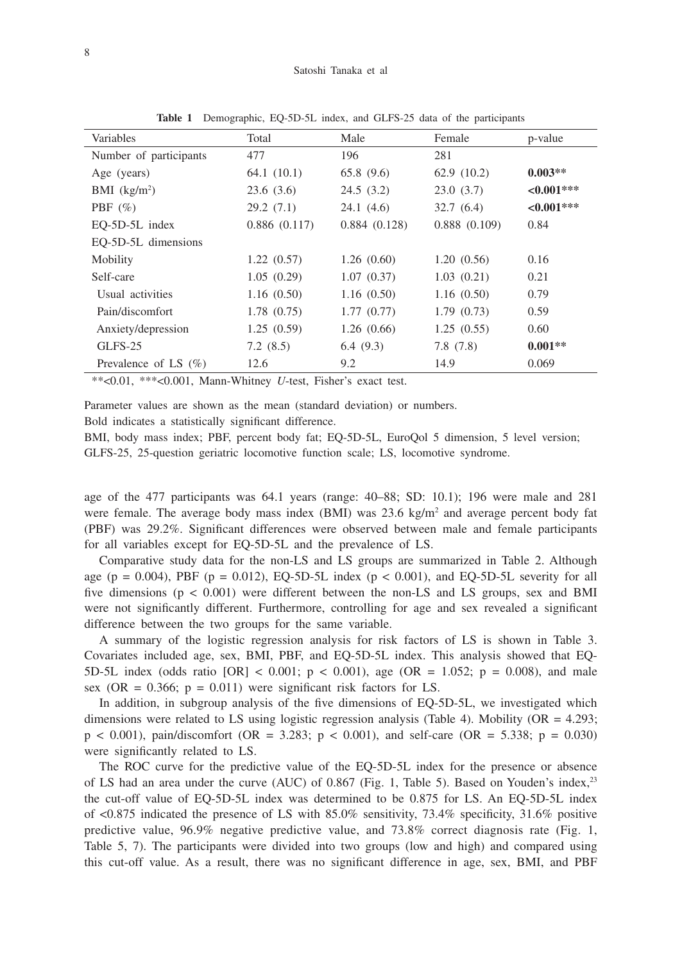| Variables                  | Total        | Male         | Female       | p-value     |
|----------------------------|--------------|--------------|--------------|-------------|
| Number of participants     | 477          | 196          | 281          |             |
| Age (years)                | 64.1(10.1)   | 65.8(9.6)    | 62.9(10.2)   | $0.003**$   |
| $BMI$ (kg/m <sup>2</sup> ) | 23.6(3.6)    | 24.5(3.2)    | 23.0(3.7)    | $<0.001***$ |
| PBF $(\%)$                 | 29.2(7.1)    | 24.1(4.6)    | 32.7(6.4)    | $<0.001***$ |
| EQ-5D-5L index             | 0.886(0.117) | 0.884(0.128) | 0.888(0.109) | 0.84        |
| EO-5D-5L dimensions        |              |              |              |             |
| Mobility                   | 1.22(0.57)   | 1.26(0.60)   | 1.20(0.56)   | 0.16        |
| Self-care                  | 1.05(0.29)   | 1.07(0.37)   | 1.03(0.21)   | 0.21        |
| Usual activities           | 1.16(0.50)   | 1.16(0.50)   | 1.16(0.50)   | 0.79        |
| Pain/discomfort            | 1.78(0.75)   | 1.77(0.77)   | 1.79(0.73)   | 0.59        |
| Anxiety/depression         | 1.25(0.59)   | 1.26(0.66)   | 1.25(0.55)   | 0.60        |
| GLFS-25                    | 7.2(8.5)     | 6.4(9.3)     | 7.8(7.8)     | $0.001**$   |
| Prevalence of LS $(\%)$    | 12.6         | 9.2          | 14.9         | 0.069       |

**Table 1** Demographic, EQ-5D-5L index, and GLFS-25 data of the participants

\*\*<0.01, \*\*\*<0.001, Mann-Whitney *U*-test, Fisher's exact test.

Parameter values are shown as the mean (standard deviation) or numbers.

Bold indicates a statistically significant difference.

BMI, body mass index; PBF, percent body fat; EQ-5D-5L, EuroQol 5 dimension, 5 level version; GLFS-25, 25-question geriatric locomotive function scale; LS, locomotive syndrome.

age of the 477 participants was 64.1 years (range: 40–88; SD: 10.1); 196 were male and 281 were female. The average body mass index  $(BMI)$  was 23.6 kg/m<sup>2</sup> and average percent body fat (PBF) was 29.2%. Significant differences were observed between male and female participants for all variables except for EQ-5D-5L and the prevalence of LS.

Comparative study data for the non-LS and LS groups are summarized in Table 2. Although age (p = 0.004), PBF (p = 0.012), EQ-5D-5L index (p < 0.001), and EQ-5D-5L severity for all five dimensions  $(p < 0.001)$  were different between the non-LS and LS groups, sex and BMI were not significantly different. Furthermore, controlling for age and sex revealed a significant difference between the two groups for the same variable.

A summary of the logistic regression analysis for risk factors of LS is shown in Table 3. Covariates included age, sex, BMI, PBF, and EQ-5D-5L index. This analysis showed that EQ-5D-5L index (odds ratio  $[OR] < 0.001$ ; p < 0.001), age (OR = 1.052; p = 0.008), and male sex (OR =  $0.366$ ; p =  $0.011$ ) were significant risk factors for LS.

In addition, in subgroup analysis of the five dimensions of EQ-5D-5L, we investigated which dimensions were related to LS using logistic regression analysis (Table 4). Mobility ( $OR = 4.293$ ;  $p < 0.001$ ), pain/discomfort (OR = 3.283;  $p < 0.001$ ), and self-care (OR = 5.338;  $p = 0.030$ ) were significantly related to LS.

The ROC curve for the predictive value of the EQ-5D-5L index for the presence or absence of LS had an area under the curve (AUC) of 0.867 (Fig. 1, Table 5). Based on Youden's index,<sup>23</sup> the cut-off value of EQ-5D-5L index was determined to be 0.875 for LS. An EQ-5D-5L index of <0.875 indicated the presence of LS with 85.0% sensitivity, 73.4% specificity, 31.6% positive predictive value, 96.9% negative predictive value, and 73.8% correct diagnosis rate (Fig. 1, Table 5, 7). The participants were divided into two groups (low and high) and compared using this cut-off value. As a result, there was no significant difference in age, sex, BMI, and PBF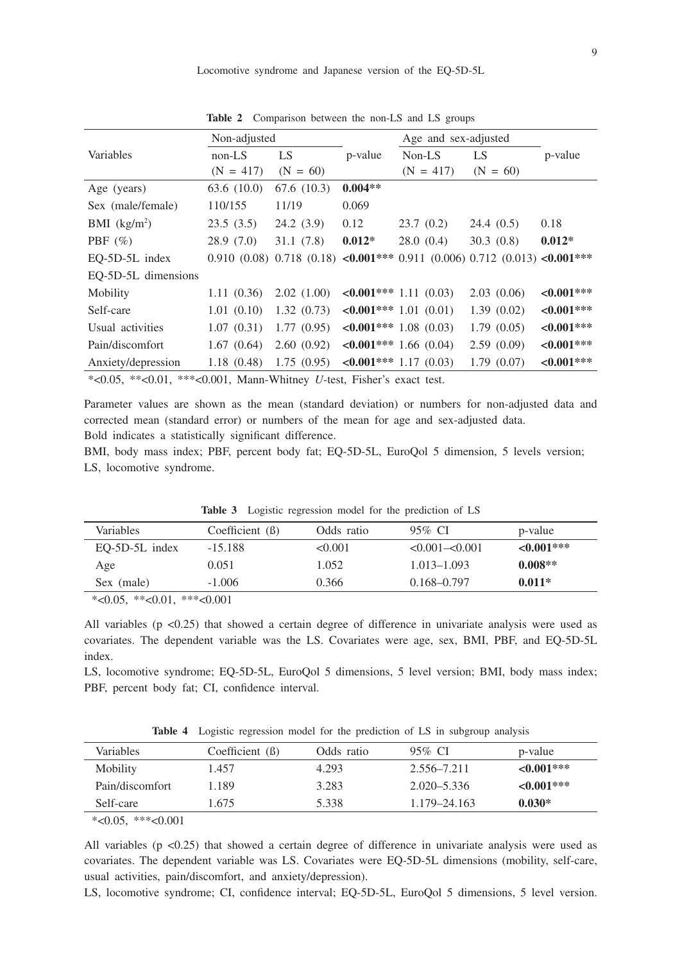Locomotive syndrome and Japanese version of the EQ-5D-5L

|                                                                                                                  | Non-adjusted |             |           | Age and sex-adjusted                                                                        |            |               |
|------------------------------------------------------------------------------------------------------------------|--------------|-------------|-----------|---------------------------------------------------------------------------------------------|------------|---------------|
| Variables                                                                                                        | $non-LS$     | LS.         | p-value   | Non-LS                                                                                      | LS         | p-value       |
|                                                                                                                  | $(N = 417)$  | $(N = 60)$  |           | $(N = 417)$                                                                                 | $(N = 60)$ |               |
| Age (years)                                                                                                      | 63.6(10.0)   | 67.6 (10.3) | $0.004**$ |                                                                                             |            |               |
| Sex (male/female)                                                                                                | 110/155      | 11/19       | 0.069     |                                                                                             |            |               |
| BMI $(kg/m2)$                                                                                                    | 23.5(3.5)    | 24.2(3.9)   | 0.12      | 23.7(0.2)                                                                                   | 24.4(0.5)  | 0.18          |
| PBF $(\% )$                                                                                                      | 28.9(7.0)    | 31.1(7.8)   | $0.012*$  | 28.0(0.4)                                                                                   | 30.3(0.8)  | $0.012*$      |
| EQ-5D-5L index                                                                                                   |              |             |           | 0.910 (0.08) 0.718 (0.18) $\langle 0.001***$ 0.911 (0.006) 0.712 (0.013) $\langle 0.001***$ |            |               |
| EO-5D-5L dimensions                                                                                              |              |             |           |                                                                                             |            |               |
| Mobility                                                                                                         | 1.11(0.36)   | 2.02(1.00)  |           | $\leq 0.001$ *** 1.11 (0.03)                                                                | 2.03(0.06) | ${<}0.001***$ |
| Self-care                                                                                                        | 1.01(0.10)   | 1.32(0.73)  |           | $\leq 0.001$ *** 1.01 (0.01)                                                                | 1.39(0.02) | ${<}0.001***$ |
| Usual activities                                                                                                 | 1.07(0.31)   | 1.77(0.95)  |           | $\leq 0.001$ *** 1.08 (0.03)                                                                | 1.79(0.05) | $<0.001***$   |
| Pain/discomfort                                                                                                  | 1.67(0.64)   | 2.60(0.92)  |           | $\leq 0.001$ *** 1.66 (0.04)                                                                | 2.59(0.09) | ${<}0.001***$ |
| Anxiety/depression                                                                                               | 1.18(0.48)   | 1.75(0.95)  |           | $\leq 0.001$ *** 1.17 (0.03)                                                                | 1.79(0.07) | $<0.001***$   |
| $*$ $\alpha$ 05 $*$ $\alpha$ 01 $*$ $*$ $\alpha$ 001 M <sub>onn</sub> Whitney <i>U</i> test. Fisher's exact test |              |             |           |                                                                                             |            |               |

**Table 2** Comparison between the non-LS and LS groups

\*<0.05, \*\*<0.01, \*\*\*<0.001, Mann-Whitney *U*-test, Fisher's exact test.

Parameter values are shown as the mean (standard deviation) or numbers for non-adjusted data and corrected mean (standard error) or numbers of the mean for age and sex-adjusted data. Bold indicates a statistically significant difference.

BMI, body mass index; PBF, percent body fat; EQ-5D-5L, EuroQol 5 dimension, 5 levels version; LS, locomotive syndrome.

| <b>Variables</b> | Coefficient $(\beta)$ | Odds ratio | 95% CI                    | p-value     |
|------------------|-----------------------|------------|---------------------------|-------------|
| $EO-5D-5L$ index | $-15.188$             | < 0.001    | $\leq 0.001 - \leq 0.001$ | $<0.001***$ |
| Age              | 0.051                 | 1.052      | $1.013 - 1.093$           | $0.008**$   |
| Sex (male)       | $-1.006$              | 0.366      | $0.168 - 0.797$           | $0.011*$    |

**Table 3** Logistic regression model for the prediction of LS

 $*<0.05$ ,  $*<0.01$ ,  $*<0.001$ 

All variables ( $p \le 0.25$ ) that showed a certain degree of difference in univariate analysis were used as covariates. The dependent variable was the LS. Covariates were age, sex, BMI, PBF, and EQ-5D-5L index.

LS, locomotive syndrome; EQ-5D-5L, EuroQol 5 dimensions, 5 level version; BMI, body mass index; PBF, percent body fat; CI, confidence interval.

**Table 4** Logistic regression model for the prediction of LS in subgroup analysis

| <b>Variables</b> | Coefficient $(\beta)$ | Odds ratio | 95% CI          | p-value          |
|------------------|-----------------------|------------|-----------------|------------------|
| Mobility         | 1.457                 | 4.293      | 2.556-7.211     | $\leq 0.001$ *** |
| Pain/discomfort  | 1.189                 | 3.283      | $2.020 - 5.336$ | $<0.001***$      |
| Self-care        | .675                  | 5.338      | 1.179–24.163    | $0.030*$         |

 $*<0.05$ ,  $**<0.001$ 

All variables ( $p < 0.25$ ) that showed a certain degree of difference in univariate analysis were used as covariates. The dependent variable was LS. Covariates were EQ-5D-5L dimensions (mobility, self-care, usual activities, pain/discomfort, and anxiety/depression).

LS, locomotive syndrome; CI, confidence interval; EQ-5D-5L, EuroQol 5 dimensions, 5 level version.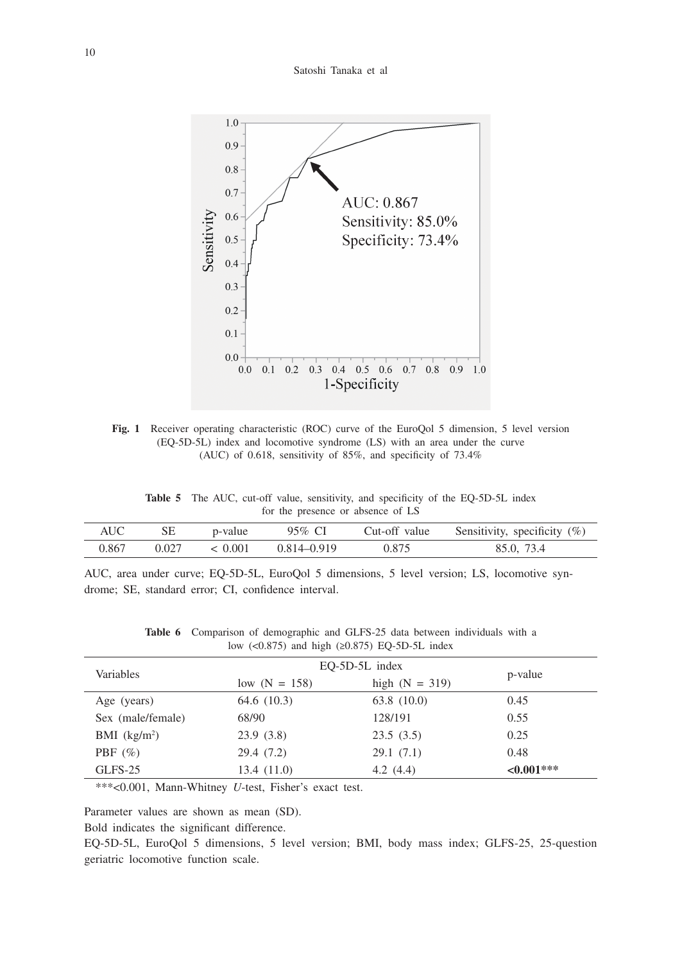#### Satoshi Tanaka et al



**Fig. 1** Receiver operating characteristic (ROC) curve of the EuroQol 5 dimension, 5 level version (EQ-5D-5L) index and locomotive syndrome (LS) with an area under the curve (AUC) of 0.618, sensitivity of 85%, and specificity of 73.4%

**Table 5** The AUC, cut-off value, sensitivity, and specificity of the EQ-5D-5L index for the presence or absence of LS

| AUC-  | SЕ    | p-value | 95% CI      | Cut-off value | Sensitivity, specificity $(\%)$ |
|-------|-------|---------|-------------|---------------|---------------------------------|
| 0.867 | 0.027 | < 0.001 | 0.814–0.919 | 0.875         | 85.0, 73.4                      |

AUC, area under curve; EQ-5D-5L, EuroQol 5 dimensions, 5 level version; LS, locomotive syndrome; SE, standard error; CI, confidence interval.

| <b>Table 6</b> Comparison of demographic and GLFS-25 data between individuals with a |                                                       |  |  |  |  |
|--------------------------------------------------------------------------------------|-------------------------------------------------------|--|--|--|--|
|                                                                                      | low $(<0.875)$ and high $(\geq 0.875)$ EQ-5D-5L index |  |  |  |  |

| Variables         | $EO-5D-5L$ index |                  |               |
|-------------------|------------------|------------------|---------------|
|                   | low $(N = 158)$  | high $(N = 319)$ | p-value       |
| Age (years)       | 64.6 (10.3)      | 63.8 (10.0)      | 0.45          |
| Sex (male/female) | 68/90            | 128/191          | 0.55          |
| BMI $(kg/m2)$     | 23.9(3.8)        | 23.5(3.5)        | 0.25          |
| PBF $(\% )$       | 29.4 (7.2)       | 29.1(7.1)        | 0.48          |
| GLFS-25           | 13.4(11.0)       | 4.2 $(4.4)$      | ${<}0.001***$ |

\*\*\*<0.001, Mann-Whitney *U*-test, Fisher's exact test.

Parameter values are shown as mean (SD).

Bold indicates the significant difference.

EQ-5D-5L, EuroQol 5 dimensions, 5 level version; BMI, body mass index; GLFS-25, 25-question geriatric locomotive function scale.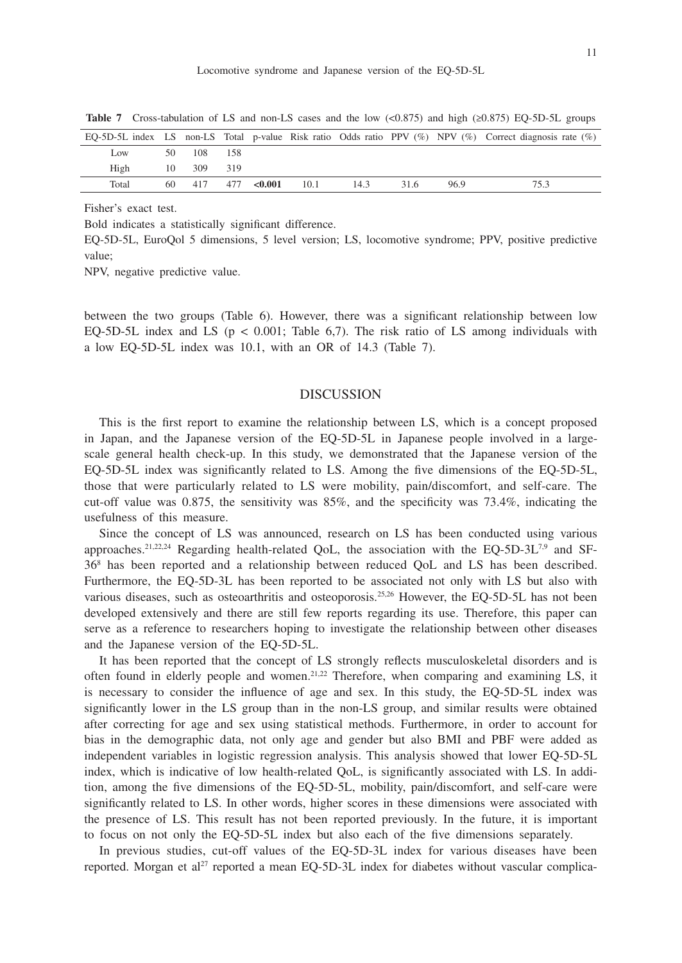|                 |            |  |                              |     |      |     | EQ-5D-5L index LS non-LS Total p-value Risk ratio Odds ratio PPV $(\%)$ NPV $(\%)$ Correct diagnosis rate $(\%)$ |
|-----------------|------------|--|------------------------------|-----|------|-----|------------------------------------------------------------------------------------------------------------------|
| L <sub>ow</sub> | 50 108 158 |  |                              |     |      |     |                                                                                                                  |
| High            | 10 309 319 |  |                              |     |      |     |                                                                                                                  |
| Total           | 60 417     |  | $477 \leq 0.001 \qquad 10.1$ | 143 | 31.6 | 969 | 75.3                                                                                                             |

**Table 7** Cross-tabulation of LS and non-LS cases and the low  $\langle \langle 0.875 \rangle$  and high  $\langle \ge 0.875 \rangle$  EQ-5D-5L groups

Fisher's exact test.

Bold indicates a statistically significant difference.

EQ-5D-5L, EuroQol 5 dimensions, 5 level version; LS, locomotive syndrome; PPV, positive predictive value;

NPV, negative predictive value.

between the two groups (Table 6). However, there was a significant relationship between low EQ-5D-5L index and LS ( $p < 0.001$ ; Table 6,7). The risk ratio of LS among individuals with a low EQ-5D-5L index was 10.1, with an OR of 14.3 (Table 7).

#### DISCUSSION

This is the first report to examine the relationship between LS, which is a concept proposed in Japan, and the Japanese version of the EQ-5D-5L in Japanese people involved in a largescale general health check-up. In this study, we demonstrated that the Japanese version of the EQ-5D-5L index was significantly related to LS. Among the five dimensions of the EQ-5D-5L, those that were particularly related to LS were mobility, pain/discomfort, and self-care. The cut-off value was 0.875, the sensitivity was 85%, and the specificity was 73.4%, indicating the usefulness of this measure.

Since the concept of LS was announced, research on LS has been conducted using various approaches.<sup>21,22,24</sup> Regarding health-related QoL, the association with the EQ-5D-3L<sup>7,9</sup> and SF-368 has been reported and a relationship between reduced QoL and LS has been described. Furthermore, the EQ-5D-3L has been reported to be associated not only with LS but also with various diseases, such as osteoarthritis and osteoporosis.<sup>25,26</sup> However, the EQ-5D-5L has not been developed extensively and there are still few reports regarding its use. Therefore, this paper can serve as a reference to researchers hoping to investigate the relationship between other diseases and the Japanese version of the EQ-5D-5L.

It has been reported that the concept of LS strongly reflects musculoskeletal disorders and is often found in elderly people and women.21,22 Therefore, when comparing and examining LS, it is necessary to consider the influence of age and sex. In this study, the EQ-5D-5L index was significantly lower in the LS group than in the non-LS group, and similar results were obtained after correcting for age and sex using statistical methods. Furthermore, in order to account for bias in the demographic data, not only age and gender but also BMI and PBF were added as independent variables in logistic regression analysis. This analysis showed that lower EQ-5D-5L index, which is indicative of low health-related QoL, is significantly associated with LS. In addition, among the five dimensions of the EQ-5D-5L, mobility, pain/discomfort, and self-care were significantly related to LS. In other words, higher scores in these dimensions were associated with the presence of LS. This result has not been reported previously. In the future, it is important to focus on not only the EQ-5D-5L index but also each of the five dimensions separately.

In previous studies, cut-off values of the EQ-5D-3L index for various diseases have been reported. Morgan et al<sup>27</sup> reported a mean EQ-5D-3L index for diabetes without vascular complica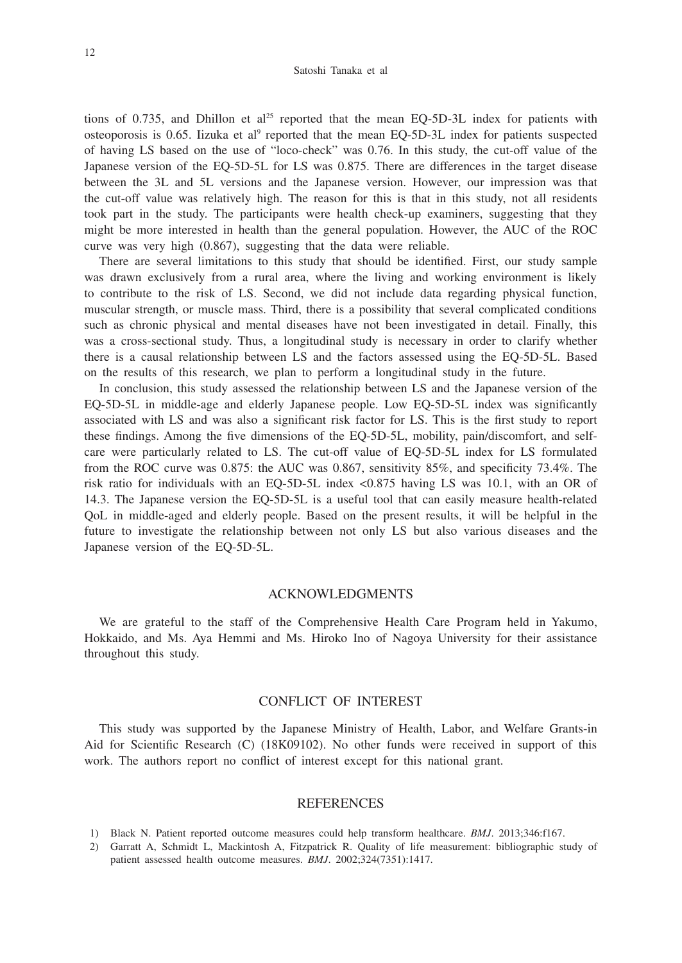tions of 0.735, and Dhillon et al<sup>25</sup> reported that the mean EQ-5D-3L index for patients with osteoporosis is 0.65. Iizuka et al<sup>9</sup> reported that the mean EQ-5D-3L index for patients suspected of having LS based on the use of "loco-check" was 0.76. In this study, the cut-off value of the Japanese version of the EQ-5D-5L for LS was 0.875. There are differences in the target disease between the 3L and 5L versions and the Japanese version. However, our impression was that the cut-off value was relatively high. The reason for this is that in this study, not all residents took part in the study. The participants were health check-up examiners, suggesting that they might be more interested in health than the general population. However, the AUC of the ROC curve was very high (0.867), suggesting that the data were reliable.

There are several limitations to this study that should be identified. First, our study sample was drawn exclusively from a rural area, where the living and working environment is likely to contribute to the risk of LS. Second, we did not include data regarding physical function, muscular strength, or muscle mass. Third, there is a possibility that several complicated conditions such as chronic physical and mental diseases have not been investigated in detail. Finally, this was a cross-sectional study. Thus, a longitudinal study is necessary in order to clarify whether there is a causal relationship between LS and the factors assessed using the EQ-5D-5L. Based on the results of this research, we plan to perform a longitudinal study in the future.

In conclusion, this study assessed the relationship between LS and the Japanese version of the EQ-5D-5L in middle-age and elderly Japanese people. Low EQ-5D-5L index was significantly associated with LS and was also a significant risk factor for LS. This is the first study to report these findings. Among the five dimensions of the EQ-5D-5L, mobility, pain/discomfort, and selfcare were particularly related to LS. The cut-off value of EQ-5D-5L index for LS formulated from the ROC curve was 0.875: the AUC was 0.867, sensitivity 85%, and specificity 73.4%. The risk ratio for individuals with an EQ-5D-5L index <0.875 having LS was 10.1, with an OR of 14.3. The Japanese version the EQ-5D-5L is a useful tool that can easily measure health-related QoL in middle-aged and elderly people. Based on the present results, it will be helpful in the future to investigate the relationship between not only LS but also various diseases and the Japanese version of the EQ-5D-5L.

## ACKNOWLEDGMENTS

We are grateful to the staff of the Comprehensive Health Care Program held in Yakumo, Hokkaido, and Ms. Aya Hemmi and Ms. Hiroko Ino of Nagoya University for their assistance throughout this study.

# CONFLICT OF INTEREST

This study was supported by the Japanese Ministry of Health, Labor, and Welfare Grants-in Aid for Scientific Research (C) (18K09102). No other funds were received in support of this work. The authors report no conflict of interest except for this national grant.

# REFERENCES

- 1) Black N. Patient reported outcome measures could help transform healthcare. *BMJ*. 2013;346:f167.
- 2) Garratt A, Schmidt L, Mackintosh A, Fitzpatrick R. Quality of life measurement: bibliographic study of patient assessed health outcome measures. *BMJ*. 2002;324(7351):1417.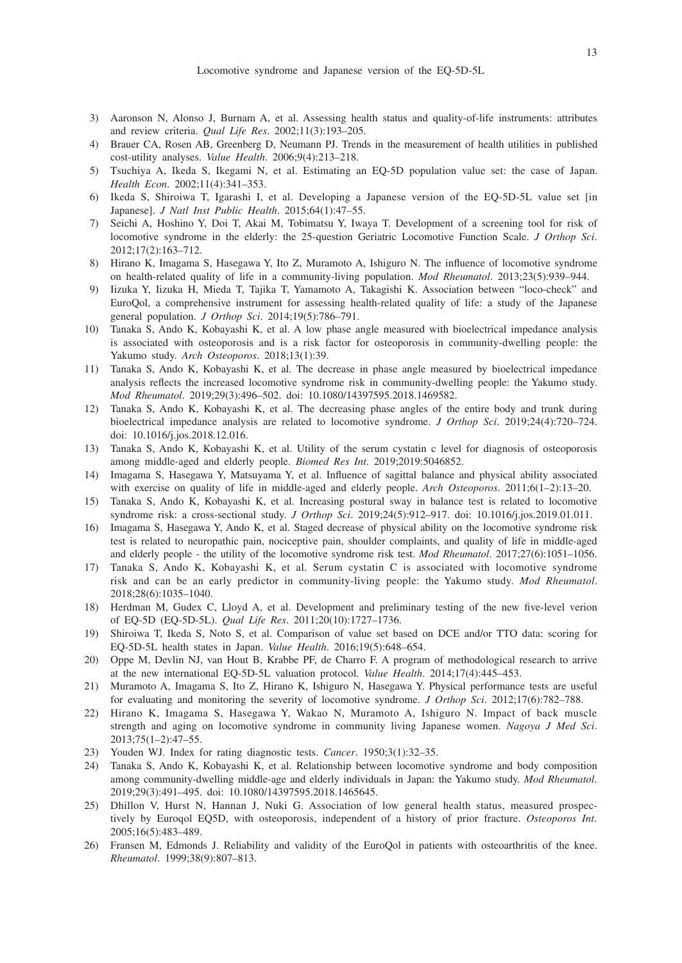- 3) Aaronson N, Alonso J, Burnam A, et al. Assessing health status and quality-of-life instruments: attributes and review criteria. *Qual Life Res*. 2002;11(3):193–205.
- 4) Brauer CA, Rosen AB, Greenberg D, Neumann PJ. Trends in the measurement of health utilities in published cost-utility analyses. *Value Health*. 2006;9(4):213–218.
- 5) Tsuchiya A, Ikeda S, Ikegami N, et al. Estimating an EQ-5D population value set: the case of Japan. *Health Econ*. 2002;11(4):341–353.
- 6) Ikeda S, Shiroiwa T, Igarashi I, et al. Developing a Japanese version of the EQ-5D-5L value set [in Japanese]. *J Natl Inst Public Health*. 2015;64(1):47–55.
- 7) Seichi A, Hoshino Y, Doi T, Akai M, Tobimatsu Y, Iwaya T. Development of a screening tool for risk of locomotive syndrome in the elderly: the 25-question Geriatric Locomotive Function Scale. *J Orthop Sci*. 2012;17(2):163–712.
- 8) Hirano K, Imagama S, Hasegawa Y, Ito Z, Muramoto A, Ishiguro N. The influence of locomotive syndrome on health-related quality of life in a community-living population. *Mod Rheumatol*. 2013;23(5):939–944.
- 9) Iizuka Y, Iizuka H, Mieda T, Tajika T, Yamamoto A, Takagishi K. Association between "loco-check" and EuroQol, a comprehensive instrument for assessing health-related quality of life: a study of the Japanese general population. *J Orthop Sci*. 2014;19(5):786–791.
- 10) Tanaka S, Ando K, Kobayashi K, et al. A low phase angle measured with bioelectrical impedance analysis is associated with osteoporosis and is a risk factor for osteoporosis in community-dwelling people: the Yakumo study. *Arch Osteoporos*. 2018;13(1):39.
- 11) Tanaka S, Ando K, Kobayashi K, et al. The decrease in phase angle measured by bioelectrical impedance analysis reflects the increased locomotive syndrome risk in community-dwelling people: the Yakumo study. *Mod Rheumatol*. 2019;29(3):496–502. doi: 10.1080/14397595.2018.1469582.
- 12) Tanaka S, Ando K, Kobayashi K, et al. The decreasing phase angles of the entire body and trunk during bioelectrical impedance analysis are related to locomotive syndrome. *J Orthop Sci*. 2019;24(4):720–724. doi: 10.1016/j.jos.2018.12.016.
- 13) Tanaka S, Ando K, Kobayashi K, et al. Utility of the serum cystatin c level for diagnosis of osteoporosis among middle-aged and elderly people. *Biomed Res Int*. 2019;2019:5046852.
- 14) Imagama S, Hasegawa Y, Matsuyama Y, et al. Influence of sagittal balance and physical ability associated with exercise on quality of life in middle-aged and elderly people. *Arch Osteoporos*. 2011;6(1–2):13–20.
- 15) Tanaka S, Ando K, Kobayashi K, et al. Increasing postural sway in balance test is related to locomotive syndrome risk: a cross-sectional study. *J Orthop Sci*. 2019;24(5):912–917. doi: 10.1016/j.jos.2019.01.011.
- 16) Imagama S, Hasegawa Y, Ando K, et al. Staged decrease of physical ability on the locomotive syndrome risk test is related to neuropathic pain, nociceptive pain, shoulder complaints, and quality of life in middle-aged and elderly people - the utility of the locomotive syndrome risk test. *Mod Rheumatol*. 2017;27(6):1051–1056.
- 17) Tanaka S, Ando K, Kobayashi K, et al. Serum cystatin C is associated with locomotive syndrome risk and can be an early predictor in community-living people: the Yakumo study. *Mod Rheumatol*. 2018;28(6):1035–1040.
- 18) Herdman M, Gudex C, Lloyd A, et al. Development and preliminary testing of the new five-level verion of EQ-5D (EQ-5D-5L). *Qual Life Res*. 2011;20(10):1727–1736.
- 19) Shiroiwa T, Ikeda S, Noto S, et al. Comparison of value set based on DCE and/or TTO data: scoring for EQ-5D-5L health states in Japan. *Value Health*. 2016;19(5):648–654.
- 20) Oppe M, Devlin NJ, van Hout B, Krabbe PF, de Charro F. A program of methodological research to arrive at the new international EQ-5D-5L valuation protocol. *Value Health*. 2014;17(4):445–453.
- 21) Muramoto A, Imagama S, Ito Z, Hirano K, Ishiguro N, Hasegawa Y. Physical performance tests are useful for evaluating and monitoring the severity of locomotive syndrome. *J Orthop Sci*. 2012;17(6):782–788.
- 22) Hirano K, Imagama S, Hasegawa Y, Wakao N, Muramoto A, Ishiguro N. Impact of back muscle strength and aging on locomotive syndrome in community living Japanese women. *Nagoya J Med Sci*. 2013;75(1–2):47–55.
- 23) Youden WJ. Index for rating diagnostic tests. *Cancer*. 1950;3(1):32–35.
- 24) Tanaka S, Ando K, Kobayashi K, et al. Relationship between locomotive syndrome and body composition among community-dwelling middle-age and elderly individuals in Japan: the Yakumo study. *Mod Rheumatol*. 2019;29(3):491–495. doi: 10.1080/14397595.2018.1465645.
- 25) Dhillon V, Hurst N, Hannan J, Nuki G. Association of low general health status, measured prospectively by Euroqol EQ5D, with osteoporosis, independent of a history of prior fracture. *Osteoporos Int*. 2005;16(5):483–489.
- 26) Fransen M, Edmonds J. Reliability and validity of the EuroQol in patients with osteoarthritis of the knee. *Rheumatol*. 1999;38(9):807–813.